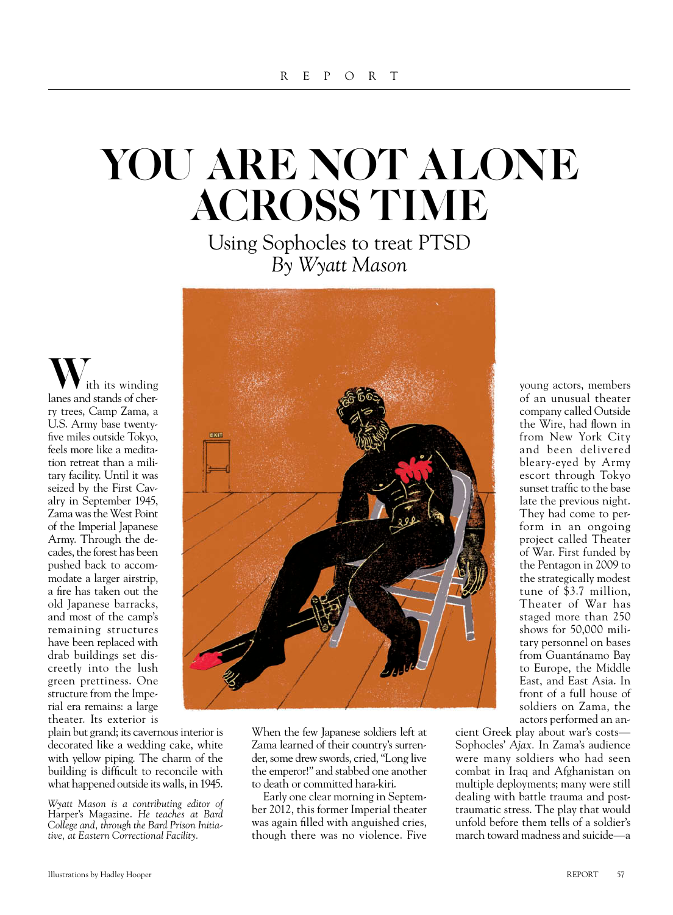## you are not alone **ACROSS TIME**

Using Sophocles to treat PTSD *By Wyatt Mason*

ith its winding lanes and stands of cherry trees, Camp Zama, a U.S. Army base twentyfive miles outside Tokyo, feels more like a meditation retreat than a military facility. Until it was seized by the First Cavalry in September 1945, Zama was the West Point of the Imperial Japanese Army. Through the decades, the forest has been pushed back to accommodate a larger airstrip, a fire has taken out the old Japanese barracks, and most of the camp's remaining structures have been replaced with drab buildings set discreetly into the lush green prettiness. One structure from the Imperial era remains: a large theater. Its exterior is

plain but grand; its cavernous interior is decorated like a wedding cake, white with yellow piping. The charm of the building is difficult to reconcile with what happened outside its walls, in 1945.



When the few Japanese soldiers left at Zama learned of their country's surrender, some drew swords, cried, "Long live the emperor!" and stabbed one another to death or committed hara-kiri.

Early one clear morning in September 2012, this former Imperial theater was again filled with anguished cries, though there was no violence. Five young actors, members of an unusual theater company called Outside the Wire, had flown in from New York City and been delivered bleary-eyed by Army escort through Tokyo sunset traffic to the base late the previous night. They had come to perform in an ongoing project called Theater of War. First funded by the Pentagon in 2009 to the strategically modest tune of \$3.7 million, Theater of War has staged more than 250 shows for 50,000 military personnel on bases from Guantánamo Bay to Europe, the Middle East, and East Asia. In front of a full house of soldiers on Zama, the actors performed an an-

cient Greek play about war's costs— Sophocles' *Ajax.* In Zama's audience were many soldiers who had seen combat in Iraq and Afghanistan on multiple deployments; many were still dealing with battle trauma and posttraumatic stress. The play that would unfold before them tells of a soldier's march toward madness and suicide—a

*Wyatt Mason is a contributing editor of*  Harper's Magazine. *He teaches at Bard College and, through the Bard Prison Initiative, at Eastern Correctional Facility.*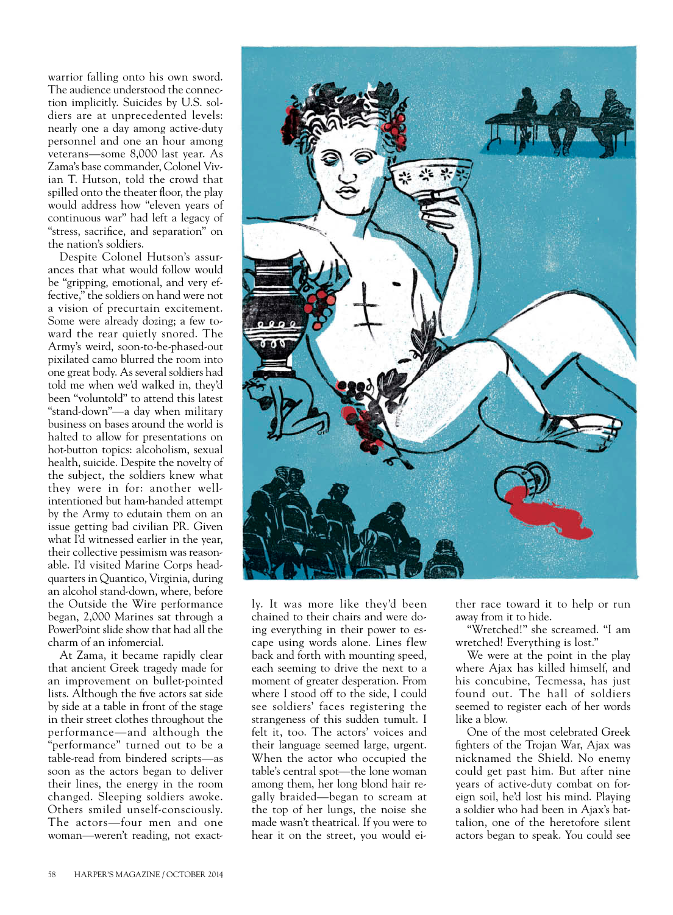warrior falling onto his own sword. The audience understood the connection implicitly. Suicides by U.S. soldiers are at unprecedented levels: nearly one a day among active-duty personnel and one an hour among veterans—some 8,000 last year. As Zama's base commander, Colonel Vivian T. Hutson, told the crowd that spilled onto the theater floor, the play would address how "eleven years of continuous war" had left a legacy of "stress, sacrifice, and separation" on the nation's soldiers.

Despite Colonel Hutson's assurances that what would follow would be "gripping, emotional, and very effective," the soldiers on hand were not a vision of precurtain excitement. Some were already dozing; a few toward the rear quietly snored. The Army's weird, soon-to-be-phased-out pixilated camo blurred the room into one great body. As several soldiers had told me when we'd walked in, they'd been "voluntold" to attend this latest "stand-down"—a day when military business on bases around the world is halted to allow for presentations on hot-button topics: alcoholism, sexual health, suicide. Despite the novelty of the subject, the soldiers knew what they were in for: another wellintentioned but ham-handed attempt by the Army to edutain them on an issue getting bad civilian PR. Given what I'd witnessed earlier in the year, their collective pessimism was reasonable. I'd visited Marine Corps headquarters in Quantico, Virginia, during an alcohol stand-down, where, before the Outside the Wire performance began, 2,000 Marines sat through a PowerPoint slide show that had all the charm of an infomercial.

At Zama, it became rapidly clear that ancient Greek tragedy made for an improvement on bullet-pointed lists. Although the five actors sat side by side at a table in front of the stage in their street clothes throughout the performance—and although the "performance" turned out to be a table-read from bindered scripts—as soon as the actors began to deliver their lines, the energy in the room changed. Sleeping soldiers awoke. Others smiled unself-consciously. The actors—four men and one woman—weren't reading, not exact-



ly. It was more like they'd been chained to their chairs and were doing everything in their power to escape using words alone. Lines flew back and forth with mounting speed, each seeming to drive the next to a moment of greater desperation. From where I stood off to the side, I could see soldiers' faces registering the strangeness of this sudden tumult. I felt it, too. The actors' voices and their language seemed large, urgent. When the actor who occupied the table's central spot—the lone woman among them, her long blond hair regally braided—began to scream at the top of her lungs, the noise she made wasn't theatrical. If you were to hear it on the street, you would either race toward it to help or run away from it to hide.

"Wretched!" she screamed. "I am wretched! Everything is lost."

We were at the point in the play where Ajax has killed himself, and his concubine, Tecmessa, has just found out. The hall of soldiers seemed to register each of her words like a blow.

One of the most celebrated Greek fighters of the Trojan War, Ajax was nicknamed the Shield. No enemy could get past him. But after nine years of active-duty combat on foreign soil, he'd lost his mind. Playing a soldier who had been in Ajax's battalion, one of the heretofore silent actors began to speak. You could see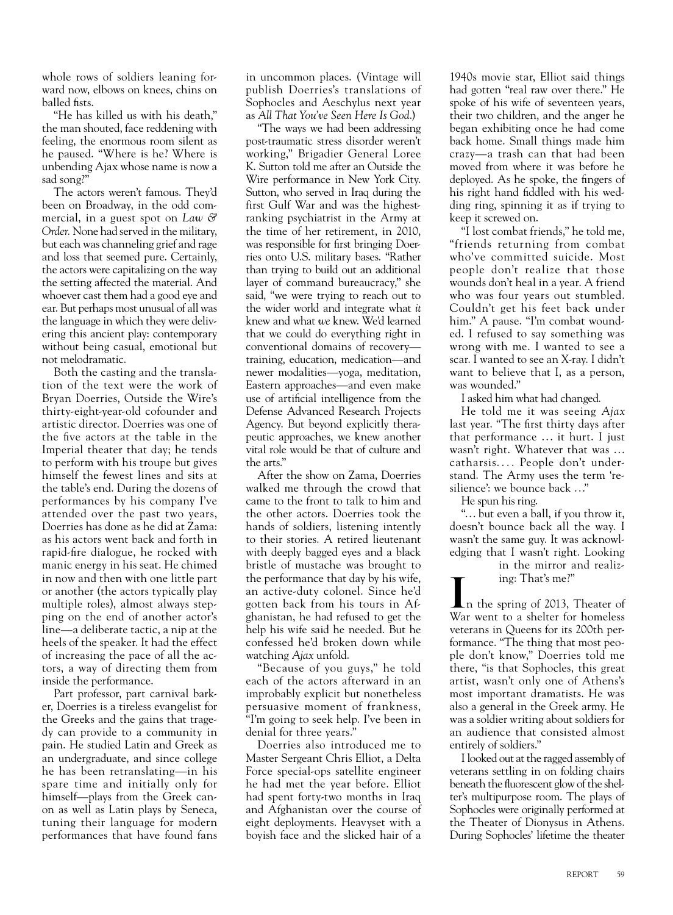whole rows of soldiers leaning forward now, elbows on knees, chins on balled fists.

"He has killed us with his death," the man shouted, face reddening with feeling, the enormous room silent as he paused. "Where is he? Where is unbending Ajax whose name is now a sad song?"

The actors weren't famous. They'd been on Broadway, in the odd commercial, in a guest spot on *Law & Order.* None had served in the military, but each was channeling grief and rage and loss that seemed pure. Certainly, the actors were capitalizing on the way the setting affected the material. And whoever cast them had a good eye and ear. But perhaps most unusual of all was the language in which they were delivering this ancient play: contemporary without being casual, emotional but not melodramatic.

Both the casting and the translation of the text were the work of Bryan Doerries, Outside the Wire's thirty-eight-year-old cofounder and artistic director. Doerries was one of the five actors at the table in the Imperial theater that day; he tends to perform with his troupe but gives himself the fewest lines and sits at the table's end. During the dozens of performances by his company I've attended over the past two years, Doerries has done as he did at Zama: as his actors went back and forth in rapid-fire dialogue, he rocked with manic energy in his seat. He chimed in now and then with one little part or another (the actors typically play multiple roles), almost always stepping on the end of another actor's line—a deliberate tactic, a nip at the heels of the speaker. It had the effect of increasing the pace of all the actors, a way of directing them from inside the performance.

Part professor, part carnival barker, Doerries is a tireless evangelist for the Greeks and the gains that tragedy can provide to a community in pain. He studied Latin and Greek as an undergraduate, and since college he has been retranslating—in his spare time and initially only for himself—plays from the Greek canon as well as Latin plays by Seneca, tuning their language for modern performances that have found fans in uncommon places. (Vintage will publish Doerries's translations of Sophocles and Aeschylus next year as *All That You've Seen Here Is God*.)

"The ways we had been addressing post-traumatic stress disorder weren't working," Brigadier General Loree K. Sutton told me after an Outside the Wire performance in New York City. Sutton, who served in Iraq during the first Gulf War and was the highestranking psychiatrist in the Army at the time of her retirement, in 2010, was responsible for first bringing Doerries onto U.S. military bases. "Rather than trying to build out an additional layer of command bureaucracy," she said, "we were trying to reach out to the wider world and integrate what *it* knew and what *we* knew. We'd learned that we could do everything right in conventional domains of recovery training, education, medication—and newer modalities—yoga, meditation, Eastern approaches—and even make use of artificial intelligence from the Defense Advanced Research Projects Agency. But beyond explicitly therapeutic approaches, we knew another vital role would be that of culture and the arts."

After the show on Zama, Doerries walked me through the crowd that came to the front to talk to him and the other actors. Doerries took the hands of soldiers, listening intently to their stories. A retired lieutenant with deeply bagged eyes and a black bristle of mustache was brought to the performance that day by his wife, an active-duty colonel. Since he'd gotten back from his tours in Afghanistan, he had refused to get the help his wife said he needed. But he confessed he'd broken down while watching *Ajax* unfold.

"Because of you guys," he told each of the actors afterward in an improbably explicit but nonetheless persuasive moment of frankness, "I'm going to seek help. I've been in denial for three years."

Doerries also introduced me to Master Sergeant Chris Elliot, a Delta Force special-ops satellite engineer he had met the year before. Elliot had spent forty-two months in Iraq and Afghanistan over the course of eight deployments. Heavyset with a boyish face and the slicked hair of a

1940s movie star, Elliot said things had gotten "real raw over there." He spoke of his wife of seventeen years, their two children, and the anger he began exhibiting once he had come back home. Small things made him crazy—a trash can that had been moved from where it was before he deployed. As he spoke, the fingers of his right hand fiddled with his wedding ring, spinning it as if trying to keep it screwed on.

"I lost combat friends," he told me, "friends returning from combat who've committed suicide. Most people don't realize that those wounds don't heal in a year. A friend who was four years out stumbled. Couldn't get his feet back under him." A pause. "I'm combat wounded. I refused to say something was wrong with me. I wanted to see a scar. I wanted to see an X-ray. I didn't want to believe that I, as a person, was wounded."

I asked him what had changed.

He told me it was seeing *Ajax* last year. "The first thirty days after that performance ... it hurt. I just wasn't right. Whatever that was ... catharsis.... People don't understand. The Army uses the term 'resilience': we bounce back ..."

He spun his ring.

"... but even a ball, if you throw it, doesn't bounce back all the way. I wasn't the same guy. It was acknowledging that I wasn't right. Looking

in the mirror and realizing: That's me?"

In the spring of 2013, Theater of War went to a shelter for homeless veterans in Queens for its 200th performance. "The thing that most people don't know," Doerries told me there, "is that Sophocles, this great artist, wasn't only one of Athens's most important dramatists. He was also a general in the Greek army. He was a soldier writing about soldiers for an audience that consisted almost entirely of soldiers."

I looked out at the ragged assembly of veterans settling in on folding chairs beneath the fluorescent glow of the shelter's multipurpose room. The plays of Sophocles were originally performed at the Theater of Dionysus in Athens. During Sophocles' lifetime the theater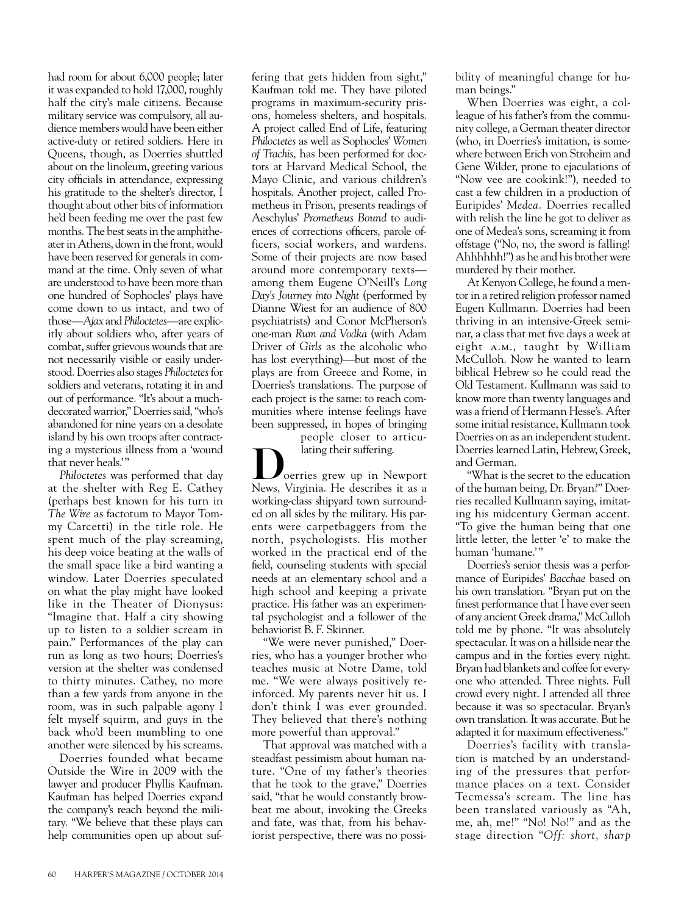had room for about 6,000 people; later it was expanded to hold 17,000, roughly half the city's male citizens. Because military service was compulsory, all audience members would have been either active-duty or retired soldiers. Here in Queens, though, as Doerries shuttled about on the linoleum, greeting various city officials in attendance, expressing his gratitude to the shelter's director, I thought about other bits of information he'd been feeding me over the past few months. The best seats in the amphitheater in Athens, down in the front, would have been reserved for generals in command at the time. Only seven of what are understood to have been more than one hundred of Sophocles' plays have come down to us intact, and two of those—*Ajax* and *Philoctetes*—are explicitly about soldiers who, after years of combat, suffer grievous wounds that are not necessarily visible or easily understood. Doerries also stages *Philoctetes* for soldiers and veterans, rotating it in and out of performance. "It's about a muchdecorated warrior," Doerries said, "who's abandoned for nine years on a desolate island by his own troops after contracting a mysterious illness from a 'wound that never heals.'"

*Philoctetes* was performed that day at the shelter with Reg E. Cathey (perhaps best known for his turn in *The Wire* as factotum to Mayor Tommy Carcetti) in the title role. He spent much of the play screaming, his deep voice beating at the walls of the small space like a bird wanting a window. Later Doerries speculated on what the play might have looked like in the Theater of Dionysus: "Imagine that. Half a city showing up to listen to a soldier scream in pain." Performances of the play can run as long as two hours; Doerries's version at the shelter was condensed to thirty minutes. Cathey, no more than a few yards from anyone in the room, was in such palpable agony I felt myself squirm, and guys in the back who'd been mumbling to one another were silenced by his screams.

Doerries founded what became Outside the Wire in 2009 with the lawyer and producer Phyllis Kaufman. Kaufman has helped Doerries expand the company's reach beyond the military. "We believe that these plays can help communities open up about suffering that gets hidden from sight," Kaufman told me. They have piloted programs in maximum-security prisons, homeless shelters, and hospitals. A project called End of Life, featuring *Philoctetes* as well as Sophocles' *Women of Trachis,* has been performed for doctors at Harvard Medical School, the Mayo Clinic, and various children's hospitals. Another project, called Prometheus in Prison, presents readings of Aeschylus' *Prometheus Bound* to audiences of corrections officers, parole officers, social workers, and wardens. Some of their projects are now based around more contemporary texts among them Eugene O'Neill's *Long Day's Journey into Night* (performed by Dianne Wiest for an audience of 800 psychiatrists) and Conor McPherson's one-man *Rum and Vodka* (with Adam Driver of *Girls* as the alcoholic who has lost everything)—but most of the plays are from Greece and Rome, in Doerries's translations. The purpose of each project is the same: to reach communities where intense feelings have been suppressed, in hopes of bringing

people closer to articulating their suffering.<br>
Doerries grew up in Newport

News, Virginia. He describes it as a working-class shipyard town surrounded on all sides by the military. His parents were carpetbaggers from the north, psychologists. His mother worked in the practical end of the field, counseling students with special needs at an elementary school and a high school and keeping a private practice. His father was an experimental psychologist and a follower of the behaviorist B. F. Skinner.

"We were never punished," Doerries, who has a younger brother who teaches music at Notre Dame, told me. "We were always positively reinforced. My parents never hit us. I don't think I was ever grounded. They believed that there's nothing more powerful than approval."

That approval was matched with a steadfast pessimism about human nature. "One of my father's theories that he took to the grave," Doerries said, "that he would constantly browbeat me about, invoking the Greeks and fate, was that, from his behaviorist perspective, there was no possibility of meaningful change for human beings."

When Doerries was eight, a colleague of his father's from the community college, a German theater director (who, in Doerries's imitation, is somewhere between Erich von Stroheim and Gene Wilder, prone to ejaculations of "Now vee are cookink!"), needed to cast a few children in a production of Euripides' *Medea.* Doerries recalled with relish the line he got to deliver as one of Medea's sons, screaming it from offstage ("No, no, the sword is falling! Ahhhhhh!") as he and his brother were murdered by their mother.

At Kenyon College, he found a mentor in a retired religion professor named Eugen Kullmann. Doerries had been thriving in an intensive-Greek seminar, a class that met five days a week at eight a.m., taught by William McCulloh. Now he wanted to learn biblical Hebrew so he could read the Old Testament. Kullmann was said to know more than twenty languages and was a friend of Hermann Hesse's. After some initial resistance, Kullmann took Doerries on as an independent student. Doerries learned Latin, Hebrew, Greek, and German.

"What is the secret to the education of the human being, Dr. Bryan?" Doerries recalled Kullmann saying, imitating his midcentury German accent*.* "To give the human being that one little letter, the letter 'e' to make the human 'humane.'"

Doerries's senior thesis was a performance of Euripides' *Bacchae* based on his own translation. "Bryan put on the finest performance that I have ever seen of any ancient Greek drama," McCulloh told me by phone. "It was absolutely spectacular. It was on a hillside near the campus and in the forties every night. Bryan had blankets and coffee for everyone who attended. Three nights. Full crowd every night. I attended all three because it was so spectacular. Bryan's own translation. It was accurate. But he adapted it for maximum effectiveness."

Doerries's facility with translation is matched by an understanding of the pressures that performance places on a text. Consider Tecmessa's scream. The line has been translated variously as "Ah, me, ah, me!" "No! No!" and as the stage direction "*Off: short, sharp*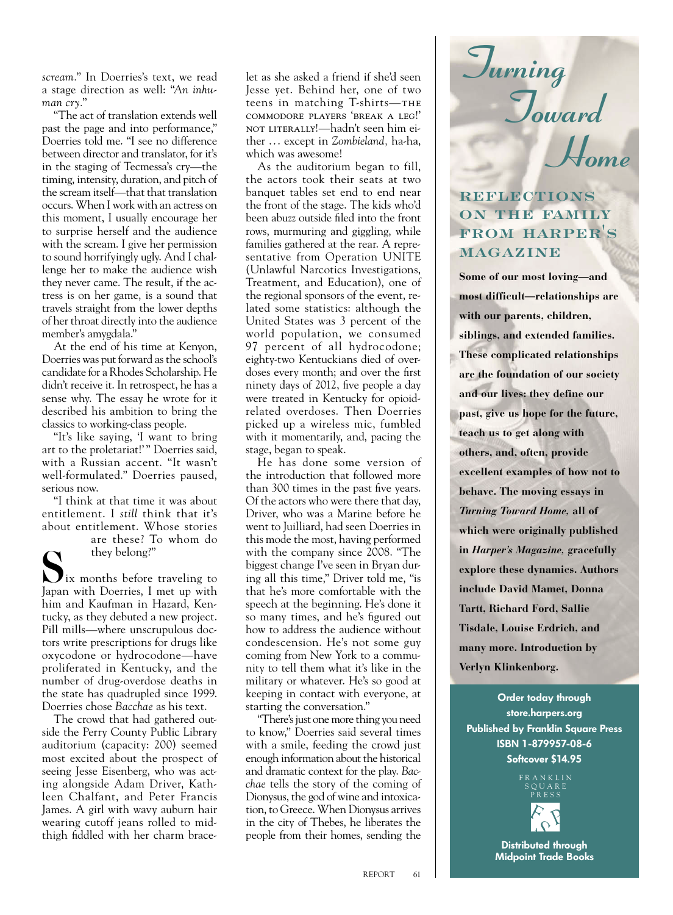*scream.*" In Doerries's text, we read a stage direction as well: "*An inhuman cry.*"

"The act of translation extends well past the page and into performance," Doerries told me. "I see no difference between director and translator, for it's in the staging of Tecmessa's cry—the timing, intensity, duration, and pitch of the scream itself—that that translation occurs. When I work with an actress on this moment, I usually encourage her to surprise herself and the audience with the scream. I give her permission to sound horrifyingly ugly. And I challenge her to make the audience wish they never came. The result, if the actress is on her game, is a sound that travels straight from the lower depths of her throat directly into the audience member's amygdala."

At the end of his time at Kenyon, Doerries was put forward as the school's candidate for a Rhodes Scholarship. He didn't receive it. In retrospect, he has a sense why. The essay he wrote for it described his ambition to bring the classics to working-class people.

"It's like saying, 'I want to bring art to the proletariat!'" Doerries said, with a Russian accent. "It wasn't well-formulated." Doerries paused, serious now.

"I think at that time it was about entitlement. I *still* think that it's about entitlement. Whose stories

are these? To whom do

they belong?"<br> $\sum_{i=1}^{\infty}$  ix months before traveling to Japan with Doerries, I met up with him and Kaufman in Hazard, Kentucky, as they debuted a new project. Pill mills—where unscrupulous doctors write prescriptions for drugs like oxycodone or hydrocodone—have proliferated in Kentucky, and the number of drug-overdose deaths in the state has quadrupled since 1999. Doerries chose *Bacchae* as his text.

The crowd that had gathered outside the Perry County Public Library auditorium (capacity: 200) seemed most excited about the prospect of seeing Jesse Eisenberg, who was acting alongside Adam Driver, Kathleen Chalfant, and Peter Francis James. A girl with wavy auburn hair wearing cutoff jeans rolled to midthigh fiddled with her charm bracelet as she asked a friend if she'd seen Jesse yet. Behind her, one of two teens in matching T-shirts-THE commodore players 'break a leg!' not literally!—hadn't seen him either . .. except in *Zombieland,* ha-ha, which was awesome!

As the auditorium began to fill, the actors took their seats at two banquet tables set end to end near the front of the stage. The kids who'd been abuzz outside filed into the front rows, murmuring and giggling, while families gathered at the rear. A representative from Operation UNITE (Unlawful Narcotics Investigations, Treatment, and Education), one of the regional sponsors of the event, related some statistics: although the United States was 3 percent of the world population, we consumed 97 percent of all hydrocodone; eighty-two Kentuckians died of overdoses every month; and over the first ninety days of 2012, five people a day were treated in Kentucky for opioidrelated overdoses. Then Doerries picked up a wireless mic, fumbled with it momentarily, and, pacing the stage, began to speak.

He has done some version of the introduction that followed more than 300 times in the past five years. Of the actors who were there that day, Driver, who was a Marine before he went to Juilliard, had seen Doerries in this mode the most, having performed with the company since 2008. "The biggest change I've seen in Bryan during all this time," Driver told me, "is that he's more comfortable with the speech at the beginning. He's done it so many times, and he's figured out how to address the audience without condescension. He's not some guy coming from New York to a community to tell them what it's like in the military or whatever. He's so good at keeping in contact with everyone, at starting the conversation."

"There's just one more thing you need to know," Doerries said several times with a smile, feeding the crowd just enough information about the historical and dramatic context for the play. *Bacchae* tells the story of the coming of Dionysus, the god of wine and intoxication, to Greece. When Dionysus arrives in the city of Thebes, he liberates the people from their homes, sending the



## **REFLECTIONS ON THE FAMILY FROM HARPER'S MAGAZINE**

**Some of our most loving—and most difficult—relationships are with our parents, children, siblings, and extended families. These complicated relationships are the foundation of our society and our lives: they define our past, give us hope for the future, teach us to get along with others, and, often, provide excellent examples of how not to behave. The moving essays in** *Turning Toward Home,* **all of which were originally published in** *Harper's Magazine,* **gracefully explore these dynamics. Authors include David Mamet, Donna Tartt, Richard Ford, Sallie Tisdale, Louise Erdrich, and many more. Introduction by Verlyn Klinkenborg.**

**Order today through store.harpers.org Published by Franklin Square Press ISBN 1-879957-08-6 Softcover \$14.95**

> F RANKLIN SQUARE PRESS



**Distributed through Midpoint Trade Books**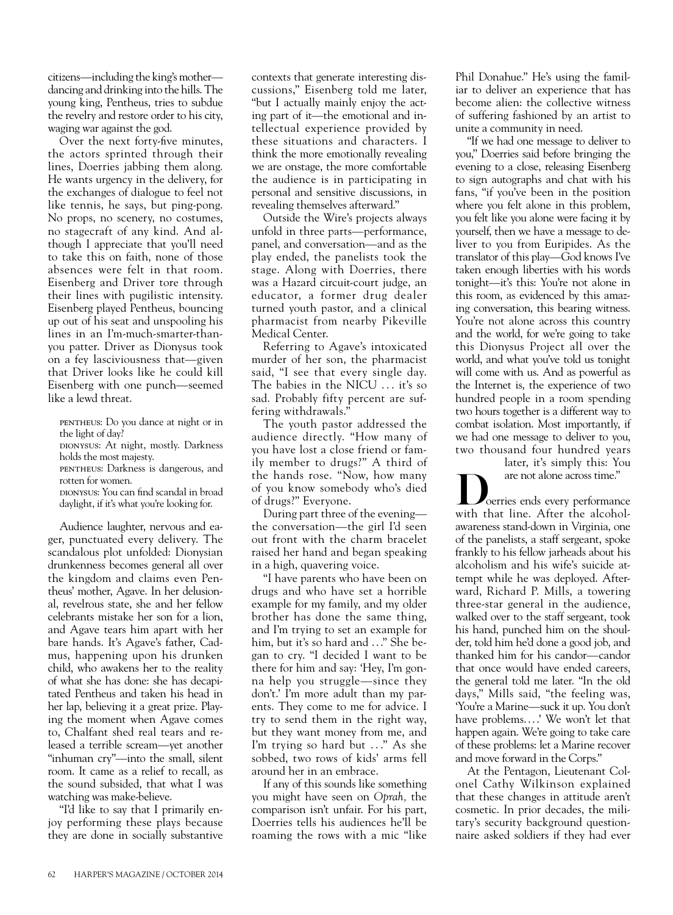citizens—including the king's mother dancing and drinking into the hills. The young king, Pentheus, tries to subdue the revelry and restore order to his city, waging war against the god.

Over the next forty-five minutes, the actors sprinted through their lines, Doerries jabbing them along. He wants urgency in the delivery, for the exchanges of dialogue to feel not like tennis, he says, but ping-pong. No props, no scenery, no costumes, no stagecraft of any kind. And although I appreciate that you'll need to take this on faith, none of those absences were felt in that room. Eisenberg and Driver tore through their lines with pugilistic intensity. Eisenberg played Pentheus, bouncing up out of his seat and unspooling his lines in an I'm-much-smarter-thanyou patter. Driver as Dionysus took on a fey lasciviousness that—given that Driver looks like he could kill Eisenberg with one punch—seemed like a lewd threat.

- pentheus: Do you dance at night or in the light of day?
- dionysus: At night, mostly. Darkness holds the most majesty.
- pentheus: Darkness is dangerous, and rotten for women.
- dionysus: You can find scandal in broad daylight, if it's what you're looking for.

Audience laughter, nervous and eager, punctuated every delivery. The scandalous plot unfolded: Dionysian drunkenness becomes general all over the kingdom and claims even Pentheus' mother, Agave. In her delusional, revelrous state, she and her fellow celebrants mistake her son for a lion, and Agave tears him apart with her bare hands. It's Agave's father, Cadmus, happening upon his drunken child, who awakens her to the reality of what she has done: she has decapitated Pentheus and taken his head in her lap, believing it a great prize. Playing the moment when Agave comes to, Chalfant shed real tears and released a terrible scream—yet another "inhuman cry"—into the small, silent room. It came as a relief to recall, as the sound subsided, that what I was watching was make-believe.

"I'd like to say that I primarily enjoy performing these plays because they are done in socially substantive contexts that generate interesting discussions," Eisenberg told me later, "but I actually mainly enjoy the acting part of it—the emotional and intellectual experience provided by these situations and characters. I think the more emotionally revealing we are onstage, the more comfortable the audience is in participating in personal and sensitive discussions, in revealing themselves afterward."

Outside the Wire's projects always unfold in three parts—performance, panel, and conversation—and as the play ended, the panelists took the stage. Along with Doerries, there was a Hazard circuit-court judge, an educator, a former drug dealer turned youth pastor, and a clinical pharmacist from nearby Pikeville Medical Center.

Referring to Agave's intoxicated murder of her son, the pharmacist said, "I see that every single day. The babies in the NICU ... it's so sad. Probably fifty percent are suffering withdrawals."

The youth pastor addressed the audience directly. "How many of you have lost a close friend or family member to drugs?" A third of the hands rose. "Now, how many of you know somebody who's died of drugs?" Everyone.

During part three of the evening the conversation—the girl I'd seen out front with the charm bracelet raised her hand and began speaking in a high, quavering voice.

"I have parents who have been on drugs and who have set a horrible example for my family, and my older brother has done the same thing, and I'm trying to set an example for him, but it's so hard and . .." She began to cry. "I decided I want to be there for him and say: 'Hey, I'm gonna help you struggle—since they don't.' I'm more adult than my parents. They come to me for advice. I try to send them in the right way, but they want money from me, and I'm trying so hard but ..." As she sobbed, two rows of kids' arms fell around her in an embrace.

If any of this sounds like something you might have seen on *Oprah,* the comparison isn't unfair. For his part, Doerries tells his audiences he'll be roaming the rows with a mic "like Phil Donahue." He's using the familiar to deliver an experience that has become alien: the collective witness of suffering fashioned by an artist to unite a community in need.

"If we had one message to deliver to you," Doerries said before bringing the evening to a close, releasing Eisenberg to sign autographs and chat with his fans, "if you've been in the position where you felt alone in this problem, you felt like you alone were facing it by yourself, then we have a message to deliver to you from Euripides. As the translator of this play—God knows I've taken enough liberties with his words tonight—it's this: You're not alone in this room, as evidenced by this amazing conversation, this bearing witness. You're not alone across this country and the world, for we're going to take this Dionysus Project all over the world, and what you've told us tonight will come with us. And as powerful as the Internet is, the experience of two hundred people in a room spending two hours together is a different way to combat isolation. Most importantly, if we had one message to deliver to you, two thousand four hundred years

later, it's simply this: You

are not alone across time."<br>
Doerries ends every performance with that line. After the alcoholawareness stand-down in Virginia, one of the panelists, a staff sergeant, spoke frankly to his fellow jarheads about his alcoholism and his wife's suicide attempt while he was deployed. Afterward, Richard P. Mills, a towering three-star general in the audience, walked over to the staff sergeant, took his hand, punched him on the shoulder, told him he'd done a good job, and thanked him for his candor—candor that once would have ended careers, the general told me later. "In the old days," Mills said, "the feeling was, 'You're a Marine—suck it up. You don't have problems....' We won't let that happen again. We're going to take care of these problems: let a Marine recover and move forward in the Corps."

At the Pentagon, Lieutenant Colonel Cathy Wilkinson explained that these changes in attitude aren't cosmetic. In prior decades, the military's security background questionnaire asked soldiers if they had ever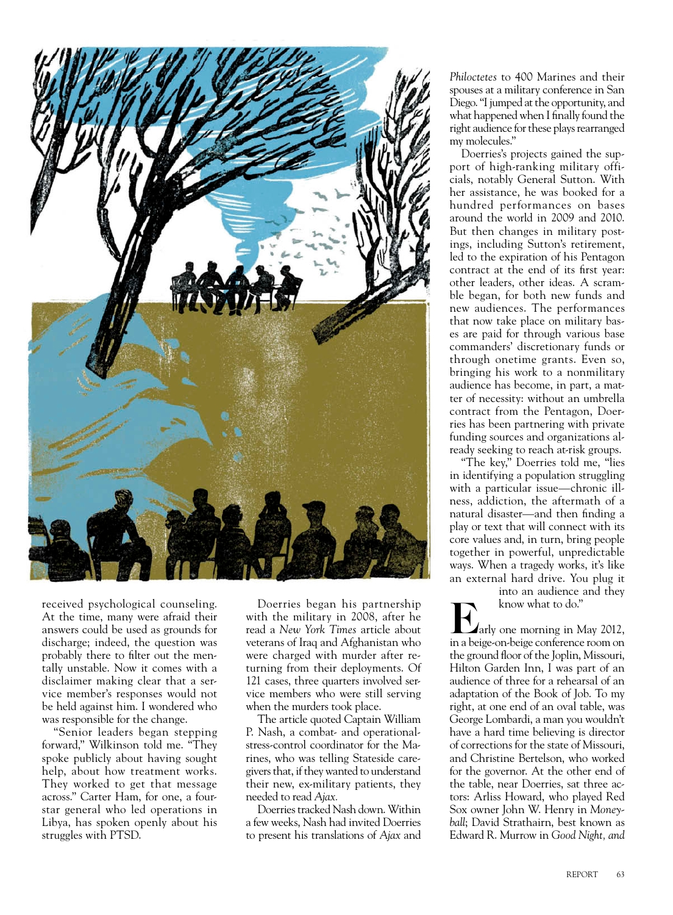

received psychological counseling. At the time, many were afraid their answers could be used as grounds for discharge; indeed, the question was probably there to filter out the mentally unstable. Now it comes with a disclaimer making clear that a service member's responses would not be held against him. I wondered who was responsible for the change.

"Senior leaders began stepping forward," Wilkinson told me. "They spoke publicly about having sought help, about how treatment works. They worked to get that message across." Carter Ham, for one, a fourstar general who led operations in Libya, has spoken openly about his struggles with PTSD.

Doerries began his partnership with the military in 2008, after he read a *New York Times* article about veterans of Iraq and Afghanistan who were charged with murder after returning from their deployments. Of 121 cases, three quarters involved service members who were still serving when the murders took place.

The article quoted Captain William P. Nash, a combat- and operationalstress-control coordinator for the Marines, who was telling Stateside caregivers that, if they wanted to understand their new, ex-military patients, they needed to read *Ajax.*

Doerries tracked Nash down. Within a few weeks, Nash had invited Doerries to present his translations of *Ajax* and *Philoctetes* to 400 Marines and their spouses at a military conference in San Diego. "I jumped at the opportunity, and what happened when I finally found the right audience for these plays rearranged my molecules."

Doerries's projects gained the support of high-ranking military officials, notably General Sutton. With her assistance, he was booked for a hundred performances on bases around the world in 2009 and 2010. But then changes in military postings, including Sutton's retirement, led to the expiration of his Pentagon contract at the end of its first year: other leaders, other ideas. A scramble began, for both new funds and new audiences. The performances that now take place on military bases are paid for through various base commanders' discretionary funds or through onetime grants. Even so, bringing his work to a nonmilitary audience has become, in part, a matter of necessity: without an umbrella contract from the Pentagon, Doerries has been partnering with private funding sources and organizations already seeking to reach at-risk groups.

"The key," Doerries told me, "lies in identifying a population struggling with a particular issue—chronic illness, addiction, the aftermath of a natural disaster—and then finding a play or text that will connect with its core values and, in turn, bring people together in powerful, unpredictable ways. When a tragedy works, it's like an external hard drive. You plug it

into an audience and they

arly one morning in May 2012, in a beige-on-beige conference room on the ground floor of the Joplin, Missouri, Hilton Garden Inn, I was part of an audience of three for a rehearsal of an adaptation of the Book of Job. To my right, at one end of an oval table, was George Lombardi, a man you wouldn't have a hard time believing is director of corrections for the state of Missouri, and Christine Bertelson, who worked for the governor. At the other end of the table, near Doerries, sat three actors: Arliss Howard, who played Red Sox owner John W. Henry in *Moneyball*; David Strathairn, best known as Edward R. Murrow in *Good Night, and*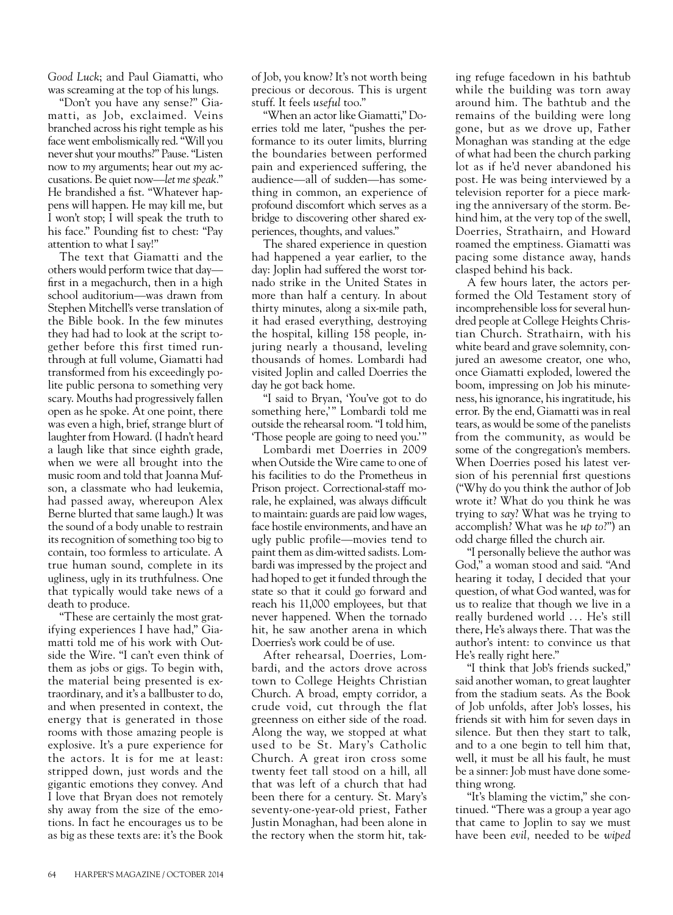*Good Luck*; and Paul Giamatti, who was screaming at the top of his lungs.

"Don't you have any sense?" Giamatti, as Job, exclaimed. Veins branched across his right temple as his face went embolismically red. "Will you never shut your mouths?" Pause. "Listen now to *my* arguments; hear out *my* accusations. Be quiet now—*let me speak.*" He brandished a fist. "Whatever happens will happen. He may kill me, but I won't stop; I will speak the truth to his face." Pounding fist to chest: "Pay attention to what I say!"

The text that Giamatti and the others would perform twice that day first in a megachurch, then in a high school auditorium—was drawn from Stephen Mitchell's verse translation of the Bible book. In the few minutes they had had to look at the script together before this first timed runthrough at full volume, Giamatti had transformed from his exceedingly polite public persona to something very scary. Mouths had progressively fallen open as he spoke. At one point, there was even a high, brief, strange blurt of laughter from Howard. (I hadn't heard a laugh like that since eighth grade, when we were all brought into the music room and told that Joanna Mufson, a classmate who had leukemia, had passed away, whereupon Alex Berne blurted that same laugh.) It was the sound of a body unable to restrain its recognition of something too big to contain, too formless to articulate. A true human sound, complete in its ugliness, ugly in its truthfulness. One that typically would take news of a death to produce.

"These are certainly the most gratifying experiences I have had," Giamatti told me of his work with Outside the Wire. "I can't even think of them as jobs or gigs. To begin with, the material being presented is extraordinary, and it's a ballbuster to do, and when presented in context, the energy that is generated in those rooms with those amazing people is explosive. It's a pure experience for the actors. It is for me at least: stripped down, just words and the gigantic emotions they convey. And I love that Bryan does not remotely shy away from the size of the emotions. In fact he encourages us to be as big as these texts are: it's the Book of Job, you know? It's not worth being precious or decorous. This is urgent stuff. It feels *useful* too."

"When an actor like Giamatti," Doerries told me later, "pushes the performance to its outer limits, blurring the boundaries between performed pain and experienced suffering, the audience—all of sudden—has something in common, an experience of profound discomfort which serves as a bridge to discovering other shared experiences, thoughts, and values."

The shared experience in question had happened a year earlier, to the day: Joplin had suffered the worst tornado strike in the United States in more than half a century. In about thirty minutes, along a six-mile path, it had erased everything, destroying the hospital, killing 158 people, injuring nearly a thousand, leveling thousands of homes. Lombardi had visited Joplin and called Doerries the day he got back home.

"I said to Bryan, 'You've got to do something here,'" Lombardi told me outside the rehearsal room. "I told him, 'Those people are going to need you.'"

Lombardi met Doerries in 2009 when Outside the Wire came to one of his facilities to do the Prometheus in Prison project. Correctional-staff morale, he explained, was always difficult to maintain: guards are paid low wages, face hostile environments, and have an ugly public profile—movies tend to paint them as dim-witted sadists. Lombardi was impressed by the project and had hoped to get it funded through the state so that it could go forward and reach his 11,000 employees, but that never happened. When the tornado hit, he saw another arena in which Doerries's work could be of use.

After rehearsal, Doerries, Lombardi, and the actors drove across town to College Heights Christian Church. A broad, empty corridor, a crude void, cut through the flat greenness on either side of the road. Along the way, we stopped at what used to be St. Mary's Catholic Church. A great iron cross some twenty feet tall stood on a hill, all that was left of a church that had been there for a century. St. Mary's seventy-one-year-old priest, Father Justin Monaghan, had been alone in the rectory when the storm hit, tak-

ing refuge facedown in his bathtub while the building was torn away around him. The bathtub and the remains of the building were long gone, but as we drove up, Father Monaghan was standing at the edge of what had been the church parking lot as if he'd never abandoned his post. He was being interviewed by a television reporter for a piece marking the anniversary of the storm. Behind him, at the very top of the swell, Doerries, Strathairn, and Howard roamed the emptiness. Giamatti was pacing some distance away, hands clasped behind his back.

A few hours later, the actors performed the Old Testament story of incomprehensible loss for several hundred people at College Heights Christian Church. Strathairn, with his white beard and grave solemnity, conjured an awesome creator, one who, once Giamatti exploded, lowered the boom, impressing on Job his minuteness, his ignorance, his ingratitude, his error. By the end, Giamatti was in real tears, as would be some of the panelists from the community, as would be some of the congregation's members. When Doerries posed his latest version of his perennial first questions ("Why do you think the author of Job wrote it? What do you think he was trying to *say*? What was he trying to accomplish? What was he *up to*?") an odd charge filled the church air.

"I personally believe the author was God," a woman stood and said. "And hearing it today, I decided that your question, of what God wanted, was for us to realize that though we live in a really burdened world ... He's still there, He's always there. That was the author's intent: to convince us that He's really right here."

"I think that Job's friends sucked," said another woman, to great laughter from the stadium seats. As the Book of Job unfolds, after Job's losses, his friends sit with him for seven days in silence. But then they start to talk, and to a one begin to tell him that, well, it must be all his fault, he must be a sinner: Job must have done something wrong.

"It's blaming the victim," she continued. "There was a group a year ago that came to Joplin to say we must have been *evil,* needed to be *wiped*